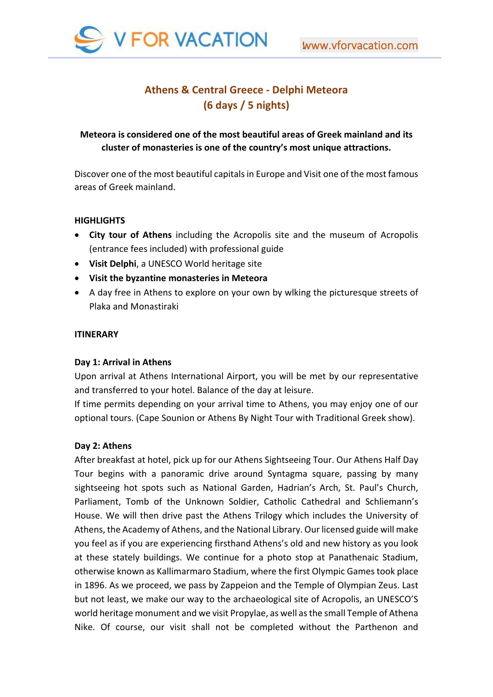

# **Athens & Central Greece ‐ Delphi Meteora (6 days / 5 nights)**

# **Meteora is considered one of the most beautiful areas of Greek mainland and its cluster of monasteries is one of the country's most unique attractions.**

Discover one of the most beautiful capitals in Europe and Visit one of the most famous areas of Greek mainland.

## **HIGHLIGHTS**

- **City tour of Athens** including the Acropolis site and the museum of Acropolis (entrance fees included) with professional guide
- **Visit Delphi**, a UNESCO World heritage site
- **Visit the byzantine monasteries in Meteora**
- A day free in Athens to explore on your own by wlking the picturesque streets of Plaka and Monastiraki

## **ITINERARY**

#### **Day 1: Arrival in Athens**

Upon arrival at Athens International Airport, you will be met by our representative and transferred to your hotel. Balance of the day at leisure.

If time permits depending on your arrival time to Athens, you may enjoy one of our optional tours. (Cape Sounion or Athens By Night Tour with Traditional Greek show).

#### **Day 2: Athens**

After breakfast at hotel, pick up for our Athens Sightseeing Tour. Our Athens Half Day Tour begins with a panoramic drive around Syntagma square, passing by many sightseeing hot spots such as National Garden, Hadrian's Arch, St. Paul's Church, Parliament, Tomb of the Unknown Soldier, Catholic Cathedral and Schliemann's House. We will then drive past the Athens Trilogy which includes the University of Athens, the Academy of Athens, and the National Library. Our licensed guide will make you feel as if you are experiencing firsthand Athens's old and new history as you look at these stately buildings. We continue for a photo stop at Panathenaic Stadium, otherwise known as Kallimarmaro Stadium, where the first Olympic Games took place in 1896. As we proceed, we pass by Zappeion and the Temple of Olympian Zeus. Last but not least, we make our way to the archaeological site of Acropolis, an UNESCO'S world heritage monument and we visit Propylae, as well as the small Temple of Athena Nike. Of course, our visit shall not be completed without the Parthenon and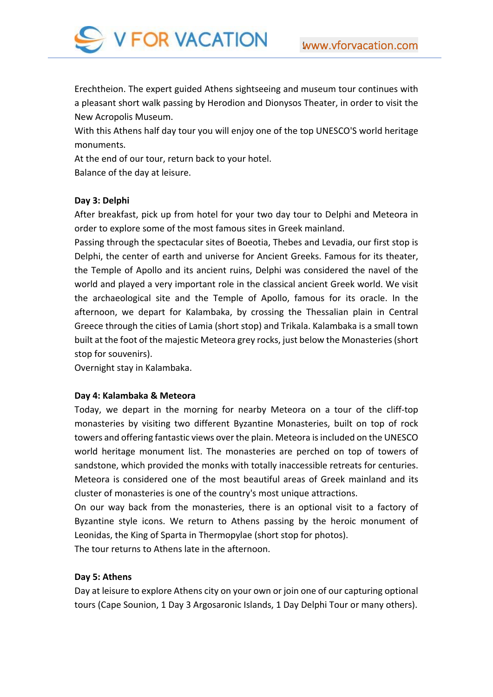

Erechtheion. The expert guided Athens sightseeing and museum tour continues with a pleasant short walk passing by Herodion and Dionysos Theater, in order to visit the New Acropolis Museum.

With this Athens half day tour you will enjoy one of the top UNESCO'S world heritage monuments.

At the end of our tour, return back to your hotel. Balance of the day at leisure.

#### **Day 3: Delphi**

After breakfast, pick up from hotel for your two day tour to Delphi and Meteora in order to explore some of the most famous sites in Greek mainland.

Passing through the spectacular sites of Boeotia, Thebes and Levadia, our first stop is Delphi, the center of earth and universe for Ancient Greeks. Famous for its theater, the Temple of Apollo and its ancient ruins, Delphi was considered the navel of the world and played a very important role in the classical ancient Greek world. We visit the archaeological site and the Temple of Apollo, famous for its oracle. In the afternoon, we depart for Kalambaka, by crossing the Thessalian plain in Central Greece through the cities of Lamia (short stop) and Trikala. Kalambaka is a small town built at the foot of the majestic Meteora grey rocks, just below the Monasteries (short stop for souvenirs).

Overnight stay in Kalambaka.

#### **Day 4: Kalambaka & Meteora**

Today, we depart in the morning for nearby Meteora on a tour of the cliff-top monasteries by visiting two different Byzantine Monasteries, built on top of rock towers and offering fantastic views over the plain. Meteora is included on the UNESCO world heritage monument list. The monasteries are perched on top of towers of sandstone, which provided the monks with totally inaccessible retreats for centuries. Meteora is considered one of the most beautiful areas of Greek mainland and its cluster of monasteries is one of the country's most unique attractions.

On our way back from the monasteries, there is an optional visit to a factory of Byzantine style icons. We return to Athens passing by the heroic monument of Leonidas, the King of Sparta in Thermopylae (short stop for photos).

The tour returns to Athens late in the afternoon.

#### **Day 5: Athens**

Day at leisure to explore Athens city on your own or join one of our capturing optional tours (Cape Sounion, 1 Day 3 Argosaronic Islands, 1 Day Delphi Tour or many others).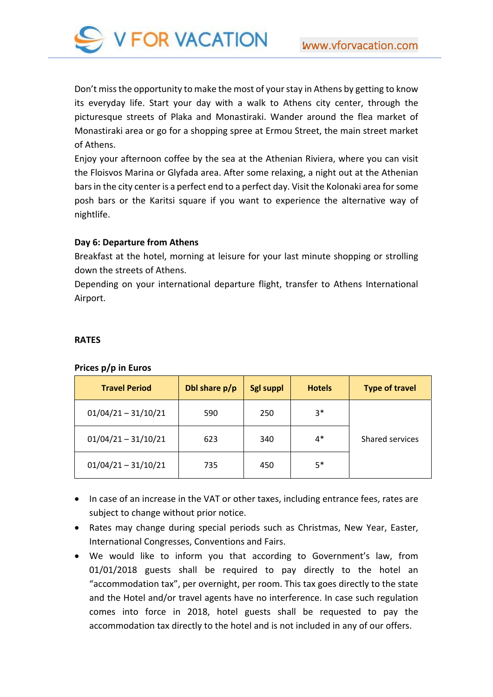

Don't miss the opportunity to make the most of your stay in Athens by getting to know its everyday life. Start your day with a walk to Athens city center, through the picturesque streets of Plaka and Monastiraki. Wander around the flea market of Monastiraki area or go for a shopping spree at Ermou Street, the main street market of Athens.

Enjoy your afternoon coffee by the sea at the Athenian Riviera, where you can visit the Floisvos Marina or Glyfada area. After some relaxing, a night out at the Athenian bars in the city center is a perfect end to a perfect day. Visit the Kolonaki area for some posh bars or the Karitsi square if you want to experience the alternative way of nightlife.

## **Day 6: Departure from Athens**

Breakfast at the hotel, morning at leisure for your last minute shopping or strolling down the streets of Athens.

Depending on your international departure flight, transfer to Athens International Airport.

#### **RATES**

#### **Prices p/p in Euros**

| <b>Travel Period</b>  | Dbl share p/p | <b>Sgl suppl</b> | <b>Hotels</b> | <b>Type of travel</b> |
|-----------------------|---------------|------------------|---------------|-----------------------|
| $01/04/21 - 31/10/21$ | 590           | 250              | $3*$          |                       |
| $01/04/21 - 31/10/21$ | 623           | 340              | $4*$          | Shared services       |
| $01/04/21 - 31/10/21$ | 735           | 450              | $5*$          |                       |

- In case of an increase in the VAT or other taxes, including entrance fees, rates are subject to change without prior notice.
- Rates may change during special periods such as Christmas, New Year, Easter, International Congresses, Conventions and Fairs.
- We would like to inform you that according to Government's law, from 01/01/2018 guests shall be required to pay directly to the hotel an "accommodation tax", per overnight, per room. This tax goes directly to the state and the Hotel and/or travel agents have no interference. In case such regulation comes into force in 2018, hotel guests shall be requested to pay the accommodation tax directly to the hotel and is not included in any of our offers.